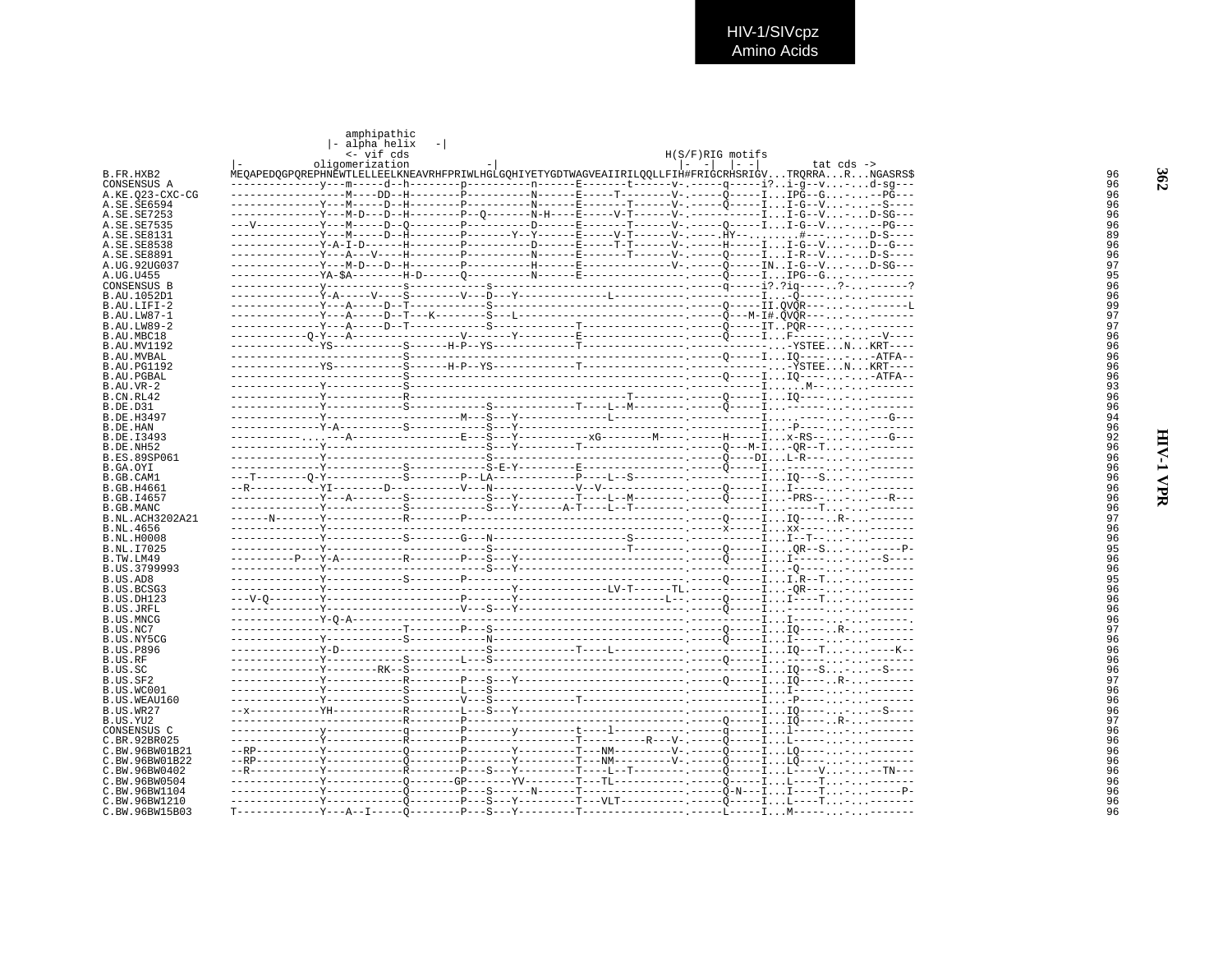HIV-1/SIVcpz<br>Amino Acids

|                                  | amphipathic<br>- alpha helix<br><- vif cds |  |  | H(S/F)RIG motifs      |                                                                                                                     |
|----------------------------------|--------------------------------------------|--|--|-----------------------|---------------------------------------------------------------------------------------------------------------------|
| B.FR.HXB2                        | oligomerization                            |  |  | $  - - -   -   - -  $ | tat $cds$ -><br>MEOAPEDOGPOREPHNEWTLELLEELKNEAVRHFPRIWLHGLGOHIYETYGDTWAGVEAIIRILOOLLFIH#FRIGCRHSRIGVTRORRARNGASRS\$ |
| CONSENSUS A                      |                                            |  |  |                       | ----v---m-----d--h---------p--------------E-------t-------v-.-----q-----i?i-g--v-d-sg---                            |
| A.KE.023-CXC-CG                  |                                            |  |  |                       |                                                                                                                     |
| A.SE.SE6594                      |                                            |  |  |                       |                                                                                                                     |
| A.SE.SE7253<br>A.SE.SE7535       |                                            |  |  |                       |                                                                                                                     |
| A.SE.SE8131                      |                                            |  |  |                       |                                                                                                                     |
| A.SE.SE8538                      |                                            |  |  |                       | -----Y-A-T-D------H---------P---------D------E-----T-T------V- .-----H-----II-G--V-D--G---                          |
| A.SE.SE8891                      |                                            |  |  |                       |                                                                                                                     |
| A.UG.92UG037<br>A.UG.U455        |                                            |  |  |                       |                                                                                                                     |
| CONSENSUS B                      |                                            |  |  |                       |                                                                                                                     |
| B.AU.1052D1                      |                                            |  |  |                       | ---------                                                                                                           |
| B.AU.LIFI-2                      |                                            |  |  |                       |                                                                                                                     |
| B. AU. LW87-1                    |                                            |  |  |                       |                                                                                                                     |
| B.AU.LW89-2<br>B.AU.MBC18        |                                            |  |  |                       |                                                                                                                     |
| <b>B.AU.MV1192</b>               |                                            |  |  |                       |                                                                                                                     |
| B.AU.MVBAL                       |                                            |  |  |                       |                                                                                                                     |
| <b>B.AU.PG1192</b>               |                                            |  |  |                       |                                                                                                                     |
| <b>B.AU.PGBAL</b>                |                                            |  |  |                       |                                                                                                                     |
| $B.AU.VR-2$<br>B.CN.RL42         |                                            |  |  |                       |                                                                                                                     |
| <b>B.DE.D31</b>                  |                                            |  |  |                       |                                                                                                                     |
| <b>B.DE.H3497</b>                |                                            |  |  |                       |                                                                                                                     |
| B.DE.HAN                         |                                            |  |  |                       |                                                                                                                     |
| B.DE.I3493                       |                                            |  |  |                       |                                                                                                                     |
| B.DE.NH52<br><b>B.ES.89SP061</b> |                                            |  |  |                       |                                                                                                                     |
| B.GA.OYI                         |                                            |  |  |                       |                                                                                                                     |
| B.GB.CAM1                        |                                            |  |  |                       |                                                                                                                     |
| <b>B.GB.H4661</b>                |                                            |  |  |                       |                                                                                                                     |
| B.GB.I4657<br>B. GB. MANC        |                                            |  |  |                       |                                                                                                                     |
| B.NL.ACH3202A21                  |                                            |  |  |                       |                                                                                                                     |
| B.NL.4656                        |                                            |  |  |                       |                                                                                                                     |
| <b>B.NL.H0008</b>                |                                            |  |  |                       |                                                                                                                     |
| B.NL.I7025                       |                                            |  |  |                       |                                                                                                                     |
| B.TW.LM49<br>B.US.3799993        |                                            |  |  |                       |                                                                                                                     |
| B.US.AD8                         |                                            |  |  |                       |                                                                                                                     |
| B.US.BCSG3                       |                                            |  |  |                       |                                                                                                                     |
| B.US.DH123                       |                                            |  |  |                       |                                                                                                                     |
| B.US.JRFL<br>B.US.MNCG           |                                            |  |  |                       |                                                                                                                     |
| B.US.NC7                         |                                            |  |  |                       |                                                                                                                     |
| B.US.NY5CG                       |                                            |  |  |                       |                                                                                                                     |
| <b>B.US.P896</b>                 |                                            |  |  |                       |                                                                                                                     |
| B.US.RF                          |                                            |  |  |                       |                                                                                                                     |
| B.US.SC<br>B.US.SF2              |                                            |  |  |                       |                                                                                                                     |
| B.US.WC001                       |                                            |  |  |                       |                                                                                                                     |
| B.US.WEAU160                     |                                            |  |  |                       |                                                                                                                     |
| B.US.WR27                        |                                            |  |  |                       |                                                                                                                     |
| B.US.YU2<br>CONSENSUS C          |                                            |  |  |                       |                                                                                                                     |
| C.BR.92BR025                     |                                            |  |  |                       |                                                                                                                     |
| C.BW.96BW01B21                   |                                            |  |  |                       |                                                                                                                     |
| C.BW.96BW01B22                   |                                            |  |  |                       |                                                                                                                     |
| C.BW.96BW0402                    |                                            |  |  |                       |                                                                                                                     |
| C.BW.96BW0504<br>C.BW.96BW1104   |                                            |  |  |                       |                                                                                                                     |
| C.BW.96BW1210                    |                                            |  |  |                       |                                                                                                                     |
| C.BW.96BW15B03                   |                                            |  |  |                       |                                                                                                                     |

HIV-1 VPR

362